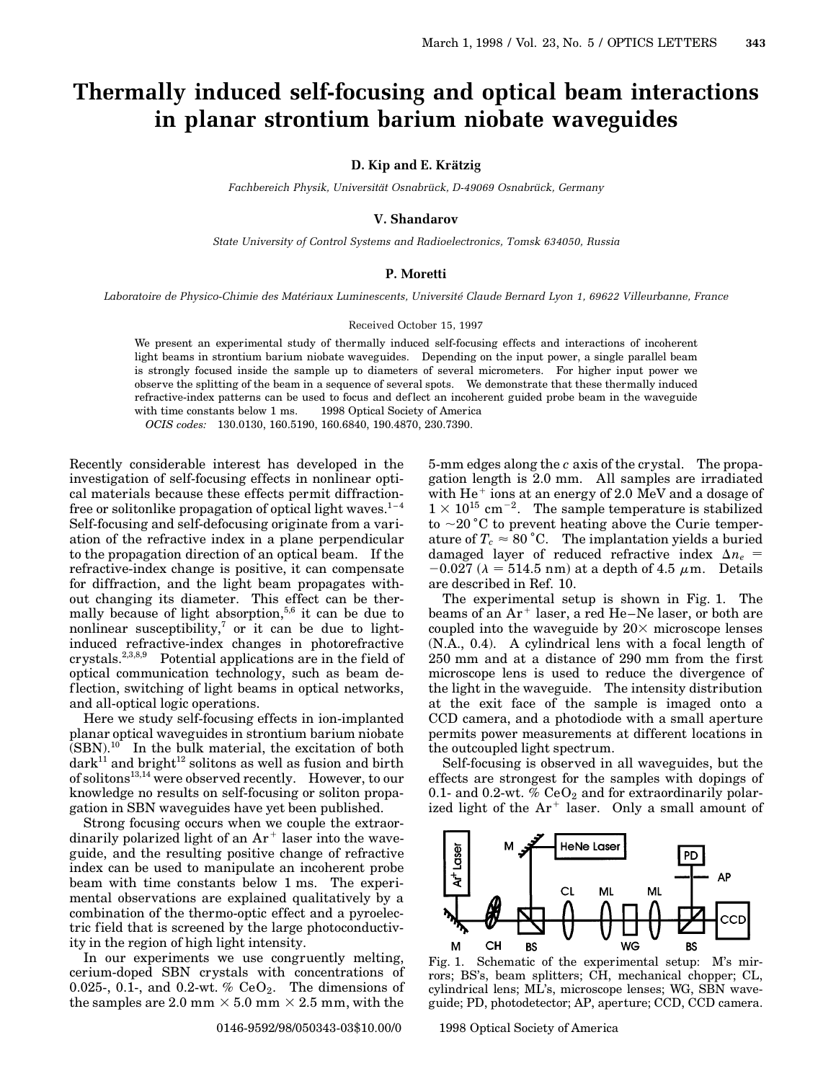# **Thermally induced self-focusing and optical beam interactions in planar strontium barium niobate waveguides**

**D. Kip and E. Krätzig** 

Fachbereich Physik, Universität Osnabrück, D-49069 Osnabrück, Germany

## **V. Shandarov**

*State University of Control Systems and Radioelectronics, Tomsk 634050, Russia*

### **P. Moretti**

Laboratoire de Physico-Chimie des Matériaux Luminescents, Université Claude Bernard Lyon 1, 69622 Villeurbanne, France

#### Received October 15, 1997

We present an experimental study of thermally induced self-focusing effects and interactions of incoherent light beams in strontium barium niobate waveguides. Depending on the input power, a single parallel beam is strongly focused inside the sample up to diameters of several micrometers. For higher input power we observe the splitting of the beam in a sequence of several spots. We demonstrate that these thermally induced refractive-index patterns can be used to focus and def lect an incoherent guided probe beam in the waveguide with time constants below 1 ms.  $\circ$  1998 Optical Society of America

*OCIS codes:* 130.0130, 160.5190, 160.6840, 190.4870, 230.7390.

Recently considerable interest has developed in the investigation of self-focusing effects in nonlinear optical materials because these effects permit diffractionfree or solitonlike propagation of optical light waves. $1-4$ Self-focusing and self-defocusing originate from a variation of the refractive index in a plane perpendicular to the propagation direction of an optical beam. If the refractive-index change is positive, it can compensate for diffraction, and the light beam propagates without changing its diameter. This effect can be thermally because of light absorption,<sup>5,6</sup> it can be due to nonlinear susceptibility,<sup>7</sup> or it can be due to lightinduced refractive-index changes in photorefractive crystals.2,3,8,9 Potential applications are in the field of optical communication technology, such as beam deflection, switching of light beams in optical networks, and all-optical logic operations.

Here we study self-focusing effects in ion-implanted planar optical waveguides in strontium barium niobate  $(SBN).$ <sup>10</sup> In the bulk material, the excitation of both  $dark^{11}$  and bright<sup>12</sup> solitons as well as fusion and birth of solitons13,14 were observed recently. However, to our knowledge no results on self-focusing or soliton propagation in SBN waveguides have yet been published.

Strong focusing occurs when we couple the extraordinarily polarized light of an  $Ar^+$  laser into the waveguide, and the resulting positive change of refractive index can be used to manipulate an incoherent probe beam with time constants below 1 ms. The experimental observations are explained qualitatively by a combination of the thermo-optic effect and a pyroelectric field that is screened by the large photoconductivity in the region of high light intensity.

In our experiments we use congruently melting, cerium-doped SBN crystals with concentrations of 0.025-, 0.1-, and 0.2-wt. %  $CeO<sub>2</sub>$ . The dimensions of the samples are 2.0 mm  $\times$  5.0 mm  $\times$  2.5 mm, with the

5-mm edges along the *c* axis of the crystal. The propagation length is 2.0 mm. All samples are irradiated with  $He<sup>+</sup>$  ions at an energy of 2.0 MeV and a dosage of  $1 \times 10^{15}$  cm<sup>-2</sup>. The sample temperature is stabilized to  $\sim$ 20 °C to prevent heating above the Curie temperature of  $T_c \approx 80\degree \text{C}$ . The implantation yields a buried damaged layer of reduced refractive index  $\Delta n_e$  =  $-0.027$  ( $\lambda = 514.5$  nm) at a depth of 4.5  $\mu$ m. Details are described in Ref. 10.

The experimental setup is shown in Fig. 1. The beams of an  $Ar^+$  laser, a red He–Ne laser, or both are coupled into the waveguide by  $20\times$  microscope lenses (N.A., 0.4). A cylindrical lens with a focal length of 250 mm and at a distance of 290 mm from the first microscope lens is used to reduce the divergence of the light in the waveguide. The intensity distribution at the exit face of the sample is imaged onto a CCD camera, and a photodiode with a small aperture permits power measurements at different locations in the outcoupled light spectrum.

Self-focusing is observed in all waveguides, but the effects are strongest for the samples with dopings of 0.1- and 0.2-wt. %  $CeO<sub>2</sub>$  and for extraordinarily polarized light of the  $Ar^+$  laser. Only a small amount of



Fig. 1. Schematic of the experimental setup: M's mirrors; BS's, beam splitters; CH, mechanical chopper; CL, cylindrical lens; ML's, microscope lenses; WG, SBN waveguide; PD, photodetector; AP, aperture; CCD, CCD camera.

0146-9592/98/050343-03\$10.00/0 © 1998 Optical Society of America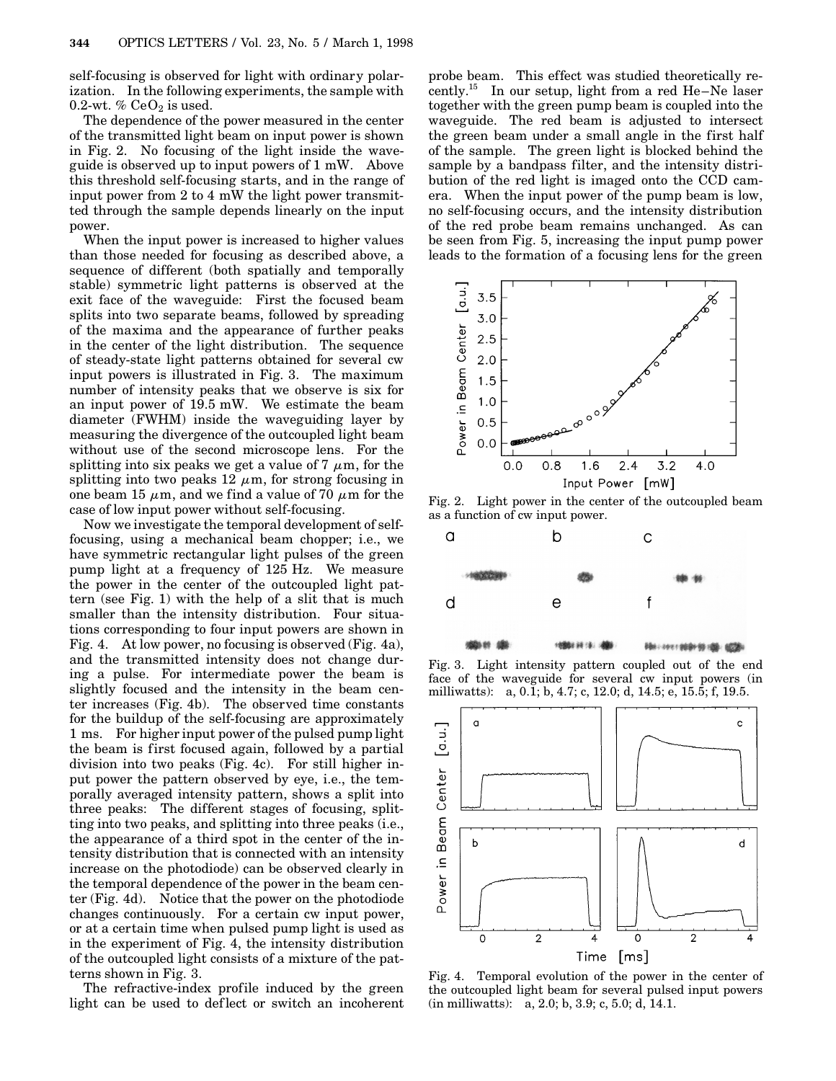self-focusing is observed for light with ordinary polarization. In the following experiments, the sample with 0.2-wt. %  $CeO<sub>2</sub>$  is used.

The dependence of the power measured in the center of the transmitted light beam on input power is shown in Fig. 2. No focusing of the light inside the waveguide is observed up to input powers of 1 mW. Above this threshold self-focusing starts, and in the range of input power from 2 to 4 mW the light power transmitted through the sample depends linearly on the input power.

When the input power is increased to higher values than those needed for focusing as described above, a sequence of different (both spatially and temporally stable) symmetric light patterns is observed at the exit face of the waveguide: First the focused beam splits into two separate beams, followed by spreading of the maxima and the appearance of further peaks in the center of the light distribution. The sequence of steady-state light patterns obtained for several cw input powers is illustrated in Fig. 3. The maximum number of intensity peaks that we observe is six for an input power of 19.5 mW. We estimate the beam diameter (FWHM) inside the waveguiding layer by measuring the divergence of the outcoupled light beam without use of the second microscope lens. For the splitting into six peaks we get a value of  $7 \mu m$ , for the splitting into two peaks  $12 \mu m$ , for strong focusing in one beam 15  $\mu$ m, and we find a value of 70  $\mu$ m for the case of low input power without self-focusing.

Now we investigate the temporal development of selffocusing, using a mechanical beam chopper; i.e., we have symmetric rectangular light pulses of the green pump light at a frequency of 125 Hz. We measure the power in the center of the outcoupled light pattern (see Fig. 1) with the help of a slit that is much smaller than the intensity distribution. Four situations corresponding to four input powers are shown in Fig. 4. At low power, no focusing is observed (Fig. 4a), and the transmitted intensity does not change during a pulse. For intermediate power the beam is slightly focused and the intensity in the beam center increases (Fig. 4b). The observed time constants for the buildup of the self-focusing are approximately 1 ms. For higher input power of the pulsed pump light the beam is first focused again, followed by a partial division into two peaks (Fig. 4c). For still higher input power the pattern observed by eye, i.e., the temporally averaged intensity pattern, shows a split into three peaks: The different stages of focusing, splitting into two peaks, and splitting into three peaks (i.e., the appearance of a third spot in the center of the intensity distribution that is connected with an intensity increase on the photodiode) can be observed clearly in the temporal dependence of the power in the beam center (Fig. 4d). Notice that the power on the photodiode changes continuously. For a certain cw input power, or at a certain time when pulsed pump light is used as in the experiment of Fig. 4, the intensity distribution of the outcoupled light consists of a mixture of the patterns shown in Fig. 3.

The refractive-index profile induced by the green light can be used to def lect or switch an incoherent probe beam. This effect was studied theoretically recently.<sup>15</sup> In our setup, light from a red He–Ne laser together with the green pump beam is coupled into the waveguide. The red beam is adjusted to intersect the green beam under a small angle in the first half of the sample. The green light is blocked behind the sample by a bandpass filter, and the intensity distribution of the red light is imaged onto the CCD camera. When the input power of the pump beam is low, no self-focusing occurs, and the intensity distribution of the red probe beam remains unchanged. As can be seen from Fig. 5, increasing the input pump power leads to the formation of a focusing lens for the green



Fig. 2. Light power in the center of the outcoupled beam as a function of cw input power.



Fig. 3. Light intensity pattern coupled out of the end face of the waveguide for several cw input powers (in milliwatts): a, 0.1; b, 4.7; c, 12.0; d, 14.5; e, 15.5; f, 19.5.



Fig. 4. Temporal evolution of the power in the center of the outcoupled light beam for several pulsed input powers (in milliwatts): a, 2.0; b, 3.9; c, 5.0; d, 14.1.